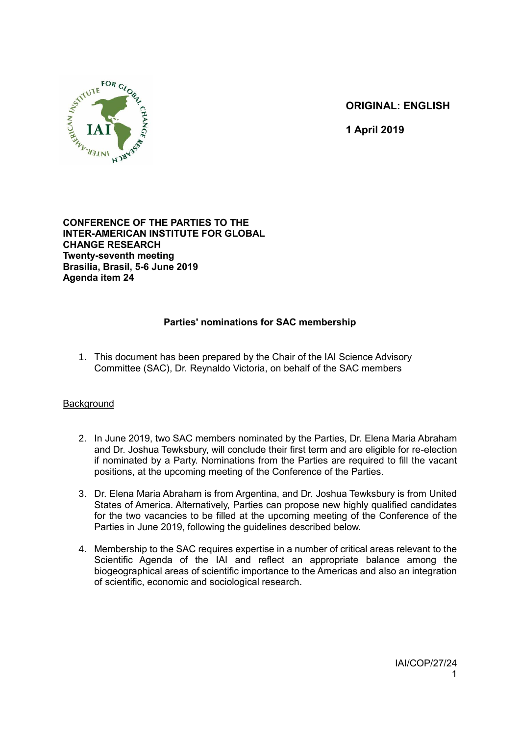

**ORIGINAL: ENGLISH**

 **1 April 2019**

## **CONFERENCE OF THE PARTIES TO THE INTER-AMERICAN INSTITUTE FOR GLOBAL CHANGE RESEARCH Twenty-seventh meeting Brasilia, Brasil, 5-6 June 2019 Agenda item 24**

## **Parties' nominations for SAC membership**

1. This document has been prepared by the Chair of the IAI Science Advisory Committee (SAC), Dr. Reynaldo Victoria, on behalf of the SAC members

## Background

- 2. In June 2019, two SAC members nominated by the Parties, Dr. Elena Maria Abraham and Dr. Joshua Tewksbury, will conclude their first term and are eligible for re-election if nominated by a Party. Nominations from the Parties are required to fill the vacant positions, at the upcoming meeting of the Conference of the Parties.
- 3. Dr. Elena Maria Abraham is from Argentina, and Dr. Joshua Tewksbury is from United States of America. Alternatively, Parties can propose new highly qualified candidates for the two vacancies to be filled at the upcoming meeting of the Conference of the Parties in June 2019, following the guidelines described below.
- 4. Membership to the SAC requires expertise in a number of critical areas relevant to the Scientific Agenda of the IAI and reflect an appropriate balance among the biogeographical areas of scientific importance to the Americas and also an integration of scientific, economic and sociological research.